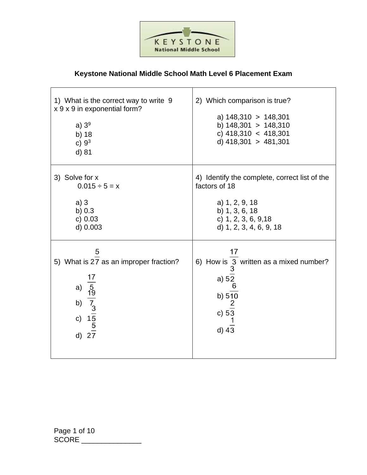

## **Keystone National Middle School Math Level 6 Placement Exam**

| 1) What is the correct way to write 9<br>x 9 x 9 in exponential form?<br>a) $39$<br>b) 18<br>c) $9^3$<br>d) 81                  | 2) Which comparison is true?<br>a) $148,310 > 148,301$<br>b) $148,301 > 148,310$<br>c) $418,310 < 418,301$<br>d) $418,301 > 481,301$                  |
|---------------------------------------------------------------------------------------------------------------------------------|-------------------------------------------------------------------------------------------------------------------------------------------------------|
| 3) Solve for x<br>$0.015 \div 5 = x$<br>a)3<br>b) $0.3$<br>c) 0.03<br>d) 0.003                                                  | 4) Identify the complete, correct list of the<br>factors of 18<br>a) 1, 2, 9, 18<br>b) 1, 3, 6, 18<br>c) 1, 2, 3, 6, 9, 18<br>d) 1, 2, 3, 4, 6, 9, 18 |
| 5<br>5) What is 27 as an improper fraction?<br>a) $\frac{17}{5}$<br>b) $\frac{19}{7}$<br>c) $\frac{15}{5}$<br>d) $\frac{5}{27}$ | 17<br>6) How is 3 written as a mixed number?<br>3<br>a) $5\frac{2}{6}$<br>b) $5\overline{10}$<br>c) $5\overline{3}$<br>d) $4\overline{3}$             |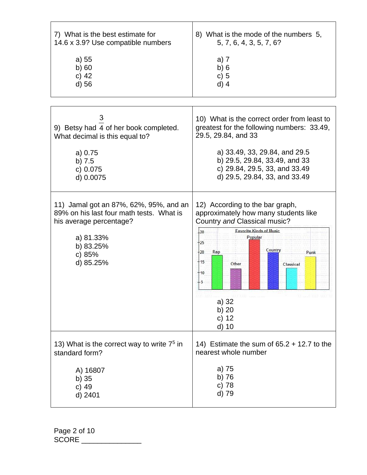| 7) What is the best estimate for                                                                                                                               | 8) What is the mode of the numbers 5,                                                                                                                                                                                                                                                                                      |
|----------------------------------------------------------------------------------------------------------------------------------------------------------------|----------------------------------------------------------------------------------------------------------------------------------------------------------------------------------------------------------------------------------------------------------------------------------------------------------------------------|
| 14.6 x 3.9? Use compatible numbers                                                                                                                             | 5, 7, 6, 4, 3, 5, 7, 6?                                                                                                                                                                                                                                                                                                    |
| a) 55                                                                                                                                                          | a) 7                                                                                                                                                                                                                                                                                                                       |
| b)60                                                                                                                                                           | b)6                                                                                                                                                                                                                                                                                                                        |
| c) $42$                                                                                                                                                        | c) 5                                                                                                                                                                                                                                                                                                                       |
| d) 56                                                                                                                                                          | $d)$ 4                                                                                                                                                                                                                                                                                                                     |
|                                                                                                                                                                |                                                                                                                                                                                                                                                                                                                            |
| 3                                                                                                                                                              | 10) What is the correct order from least to                                                                                                                                                                                                                                                                                |
| 9) Betsy had 4 of her book completed.                                                                                                                          | greatest for the following numbers: 33.49,                                                                                                                                                                                                                                                                                 |
| What decimal is this equal to?                                                                                                                                 | 29.5, 29.84, and 33                                                                                                                                                                                                                                                                                                        |
| a) 0.75                                                                                                                                                        | a) 33.49, 33, 29.84, and 29.5                                                                                                                                                                                                                                                                                              |
| $b)$ 7.5                                                                                                                                                       | b) 29.5, 29.84, 33.49, and 33                                                                                                                                                                                                                                                                                              |
| c) 0.075                                                                                                                                                       | c) 29.84, 29.5, 33, and 33.49                                                                                                                                                                                                                                                                                              |
| d) 0.0075                                                                                                                                                      | d) 29.5, 29.84, 33, and 33.49                                                                                                                                                                                                                                                                                              |
| 11) Jamal got an 87%, 62%, 95%, and an<br>89% on his last four math tests. What is<br>his average percentage?<br>a) 81.33%<br>b) 83.25%<br>c) 85%<br>d) 85.25% | 12) According to the bar graph,<br>approximately how many students like<br>Country and Classical music?<br><b>Favorite Kinds of Music</b><br>$-30$<br>Popular<br>$+25$<br>Country<br>$+20$<br>Rap<br>Punk<br>$+15$<br>Other<br>Classical<br>$+10$<br>$+5$<br>the special control<br>a) 32<br>b) $20$<br>c) $12$<br>$d)$ 10 |
| 13) What is the correct way to write 7 <sup>5</sup> in                                                                                                         | 14) Estimate the sum of $65.2 + 12.7$ to the                                                                                                                                                                                                                                                                               |
| standard form?                                                                                                                                                 | nearest whole number                                                                                                                                                                                                                                                                                                       |
| A) 16807                                                                                                                                                       | a) 75                                                                                                                                                                                                                                                                                                                      |
| $b)$ 35                                                                                                                                                        | b) 76                                                                                                                                                                                                                                                                                                                      |
| c) $49$                                                                                                                                                        | c) 78                                                                                                                                                                                                                                                                                                                      |
| d) 2401                                                                                                                                                        | d) 79                                                                                                                                                                                                                                                                                                                      |

Page 2 of 10 SCORE \_\_\_\_\_\_\_\_\_\_\_\_\_\_\_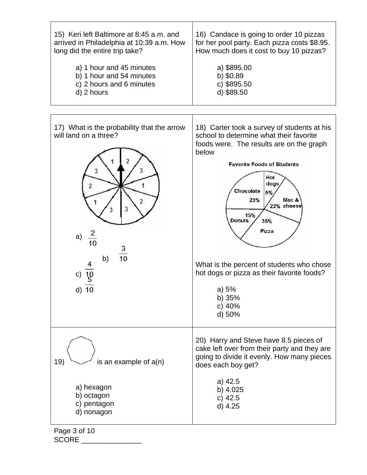

Page 3 of 10 SCORE  $\Box$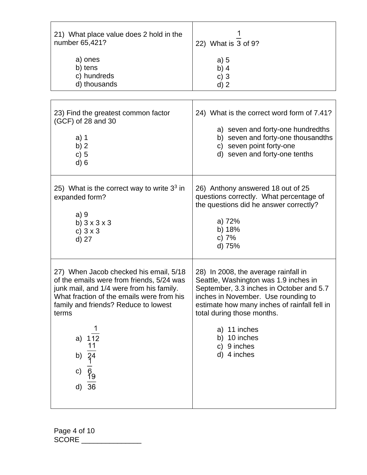| 21) What place value does 2 hold in the<br>number 65,421?<br>a) ones<br>b) tens<br>c) hundreds<br>d) thousands                                                                                                                                                                                         | 22) What is 3 of 9?<br>a) 5<br>b) $4$<br>c) $3$<br>$d)$ 2                                                                                                                                                                                                                                                    |
|--------------------------------------------------------------------------------------------------------------------------------------------------------------------------------------------------------------------------------------------------------------------------------------------------------|--------------------------------------------------------------------------------------------------------------------------------------------------------------------------------------------------------------------------------------------------------------------------------------------------------------|
| 23) Find the greatest common factor<br>(GCF) of 28 and 30<br>$a)$ 1<br>b) $2$<br>c) 5<br>$d$ ) 6                                                                                                                                                                                                       | 24) What is the correct word form of 7.41?<br>a) seven and forty-one hundredths<br>b) seven and forty-one thousandths<br>c) seven point forty-one<br>d) seven and forty-one tenths                                                                                                                           |
| 25) What is the correct way to write $33$ in<br>expanded form?<br>a)9<br>b) $3 \times 3 \times 3$<br>c) $3 \times 3$<br>d) 27                                                                                                                                                                          | 26) Anthony answered 18 out of 25<br>questions correctly. What percentage of<br>the questions did he answer correctly?<br>a) 72%<br>b) 18%<br>c) 7%<br>d) 75%                                                                                                                                                |
| 27) When Jacob checked his email, 5/18<br>of the emails were from friends, 5/24 was<br>junk mail, and 1/4 were from his family.<br>What fraction of the emails were from his<br>family and friends? Reduce to lowest<br>terms<br>a) $112$<br>11<br>b) $\overline{34}$<br>$\frac{6}{19}$<br>c)<br>d) 36 | 28) In 2008, the average rainfall in<br>Seattle, Washington was 1.9 inches in<br>September, 3.3 inches in October and 5.7<br>inches in November. Use rounding to<br>estimate how many inches of rainfall fell in<br>total during those months.<br>a) 11 inches<br>b) 10 inches<br>c) 9 inches<br>d) 4 inches |

Page 4 of 10 SCORE \_\_\_\_\_\_\_\_\_\_\_\_\_\_\_\_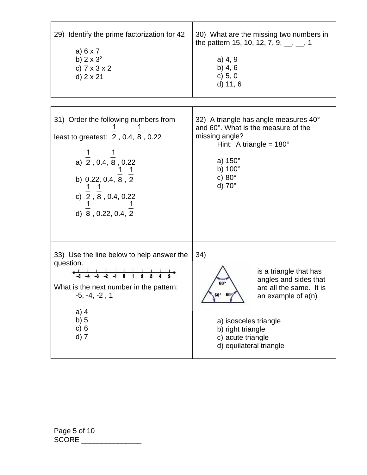| 29) Identify the prime factorization for 42<br>a) $6 \times 7$<br>b) $2 \times 3^2$<br>c) $7 \times 3 \times 2$<br>d) $2 \times 21$                                                                                                                                                                   | 30) What are the missing two numbers in<br>the pattern 15, 10, 12, 7, 9, $\frac{1}{2}$ , 1<br>$a)$ 4, 9<br>b) $4, 6$<br>c) 5, 0<br>d) 11, 6                                                                                       |
|-------------------------------------------------------------------------------------------------------------------------------------------------------------------------------------------------------------------------------------------------------------------------------------------------------|-----------------------------------------------------------------------------------------------------------------------------------------------------------------------------------------------------------------------------------|
| 31) Order the following numbers from<br>least to greatest: $\overline{2}$ , 0.4, $\overline{8}$ , 0.22<br>a) $\frac{1}{2}$ , 0.4, $\frac{1}{8}$ , 0.22<br>b) 0.22, 0.4, $\frac{1}{8}$ , $\frac{1}{2}$<br>c) $\frac{1}{2}$ , $\overline{8}$ , 0.4, 0.22<br>d) $\overline{8}$ , 0.22, 0.4, 2            | 32) A triangle has angle measures 40°<br>and 60°. What is the measure of the<br>missing angle?<br>Hint: A triangle = $180^\circ$<br>a) $150^\circ$<br>b) $100^\circ$<br>c) $80^\circ$<br>d) $70^\circ$                            |
| 33) Use the line below to help answer the<br>question.<br>$\frac{1}{4}$ $\frac{1}{4}$ $\frac{1}{3}$ $\frac{1}{2}$ $\frac{1}{4}$ $\frac{1}{6}$ $\frac{1}{1}$ $\frac{1}{2}$ $\frac{1}{3}$ $\frac{1}{4}$<br>What is the next number in the pattern:<br>$-5, -4, -2, 1$<br>$a)$ 4<br>b) 5<br>c) 6<br>d) 7 | 34)<br>is a triangle that has<br>angles and sides that<br>60°<br>are all the same. It is<br>$60^{\circ}$ 60<br>an example of $a(n)$<br>a) isosceles triangle<br>b) right triangle<br>c) acute triangle<br>d) equilateral triangle |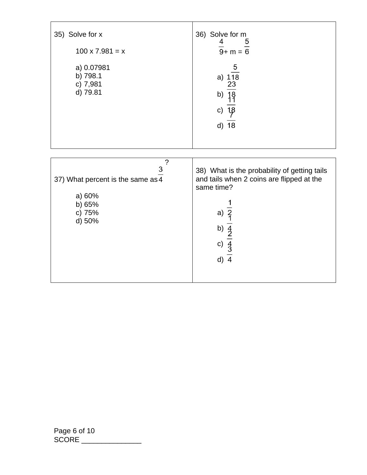| 35) Solve for x<br>$100 \times 7.981 = x$<br>a) 0.07981<br>b) 798.1<br>c) 7,981<br>d) 79.81 | 36) Solve for m<br>$\frac{4}{9}$ + m = $\frac{5}{6}$<br>$\overline{5}$<br>a) $\frac{1}{18}$<br>$\frac{23}{18}$<br>18<br>11<br>b)<br>$\frac{18}{5}$<br>c)<br>d) 18                       |
|---------------------------------------------------------------------------------------------|-----------------------------------------------------------------------------------------------------------------------------------------------------------------------------------------|
| ?<br>3<br>37) What percent is the same as 4<br>a) 60%<br>b) 65%<br>c) 75%<br>d) 50%         | 38) What is the probability of getting tails<br>and tails when 2 coins are flipped at the<br>same time?<br>a) $\frac{2}{1}$<br>b) $\frac{4}{2}$<br>c) $\frac{4}{3}$<br>d) $\frac{3}{4}$ |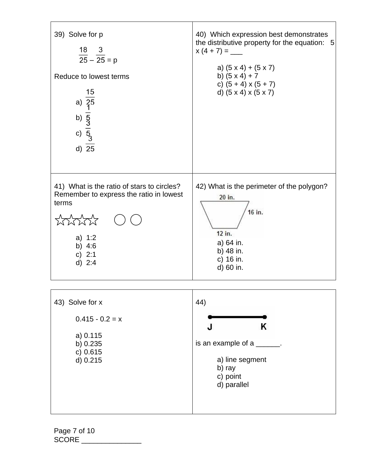

d) 0.215 b) ray c) point d) parallel

Page 7 of 10 SCORE \_\_\_\_\_\_\_\_\_\_\_\_\_\_\_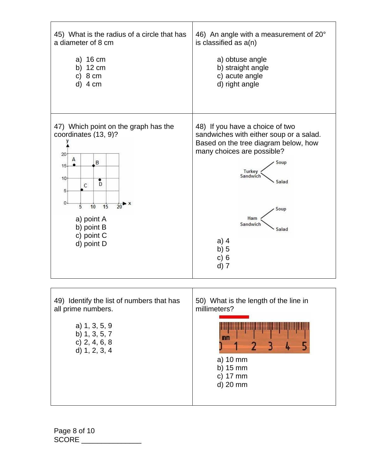

Page 8 of 10 SCORE \_\_\_\_\_\_\_\_\_\_\_\_\_\_\_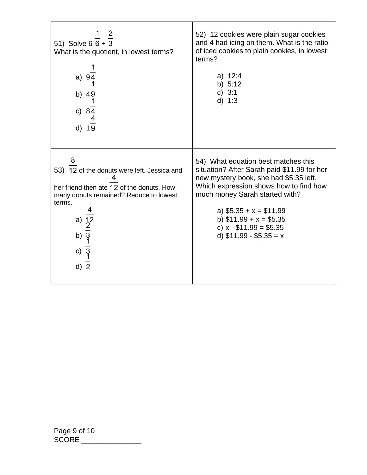| 51) Solve 6 $\frac{1}{6}$ $\frac{2}{3}$<br>What is the quotient, in lowest terms?<br>a) 94<br>b) $4\overline{9}$<br>1<br>c) $8\frac{1}{4}$<br>d) 19                                                                     | 52) 12 cookies were plain sugar cookies<br>and 4 had icing on them. What is the ratio<br>of iced cookies to plain cookies, in lowest<br>terms?<br>a) $12:4$<br>b) $5:12$<br>c) $3:1$<br>d) 1:3                                                                                                                       |
|-------------------------------------------------------------------------------------------------------------------------------------------------------------------------------------------------------------------------|----------------------------------------------------------------------------------------------------------------------------------------------------------------------------------------------------------------------------------------------------------------------------------------------------------------------|
| 8<br>53) 12 of the donuts were left. Jessica and<br>her friend then ate 12 of the donuts. How<br>many donuts remained? Reduce to lowest<br>terms.<br>a) $\frac{1}{2}$<br>b) $\frac{2}{3}$<br>c) $\frac{1}{3}$<br>$d)$ 2 | 54) What equation best matches this<br>situation? After Sarah paid \$11.99 for her<br>new mystery book, she had \$5.35 left.<br>Which expression shows how to find how<br>much money Sarah started with?<br>a) $$5.35 + x = $11.99$<br>b) $$11.99 + x = $5.35$<br>c) $x - $11.99 = $5.35$<br>d) $$11.99 - $5.35 = x$ |